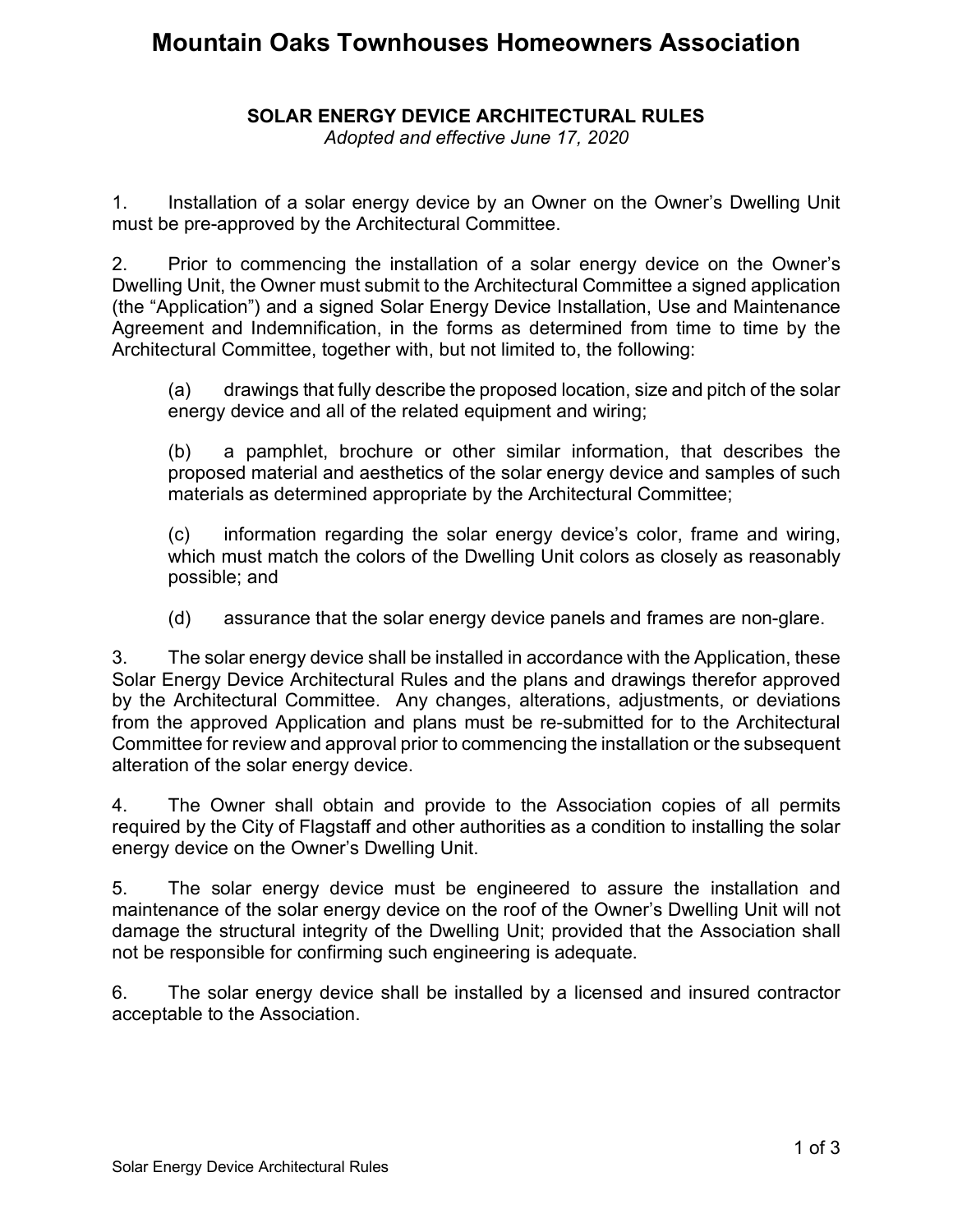# **Mountain Oaks Townhouses Homeowners Association**

### **SOLAR ENERGY DEVICE ARCHITECTURAL RULES**

*Adopted and effective June 17, 2020*

1. Installation of a solar energy device by an Owner on the Owner's Dwelling Unit must be pre-approved by the Architectural Committee.

2. Prior to commencing the installation of a solar energy device on the Owner's Dwelling Unit, the Owner must submit to the Architectural Committee a signed application (the "Application") and a signed Solar Energy Device Installation, Use and Maintenance Agreement and Indemnification, in the forms as determined from time to time by the Architectural Committee, together with, but not limited to, the following:

(a) drawings that fully describe the proposed location, size and pitch of the solar energy device and all of the related equipment and wiring;

(b) a pamphlet, brochure or other similar information, that describes the proposed material and aesthetics of the solar energy device and samples of such materials as determined appropriate by the Architectural Committee;

(c) information regarding the solar energy device's color, frame and wiring, which must match the colors of the Dwelling Unit colors as closely as reasonably possible; and

(d) assurance that the solar energy device panels and frames are non-glare.

3. The solar energy device shall be installed in accordance with the Application, these Solar Energy Device Architectural Rules and the plans and drawings therefor approved by the Architectural Committee. Any changes, alterations, adjustments, or deviations from the approved Application and plans must be re-submitted for to the Architectural Committee for review and approval prior to commencing the installation or the subsequent alteration of the solar energy device.

4. The Owner shall obtain and provide to the Association copies of all permits required by the City of Flagstaff and other authorities as a condition to installing the solar energy device on the Owner's Dwelling Unit.

5. The solar energy device must be engineered to assure the installation and maintenance of the solar energy device on the roof of the Owner's Dwelling Unit will not damage the structural integrity of the Dwelling Unit; provided that the Association shall not be responsible for confirming such engineering is adequate.

6. The solar energy device shall be installed by a licensed and insured contractor acceptable to the Association.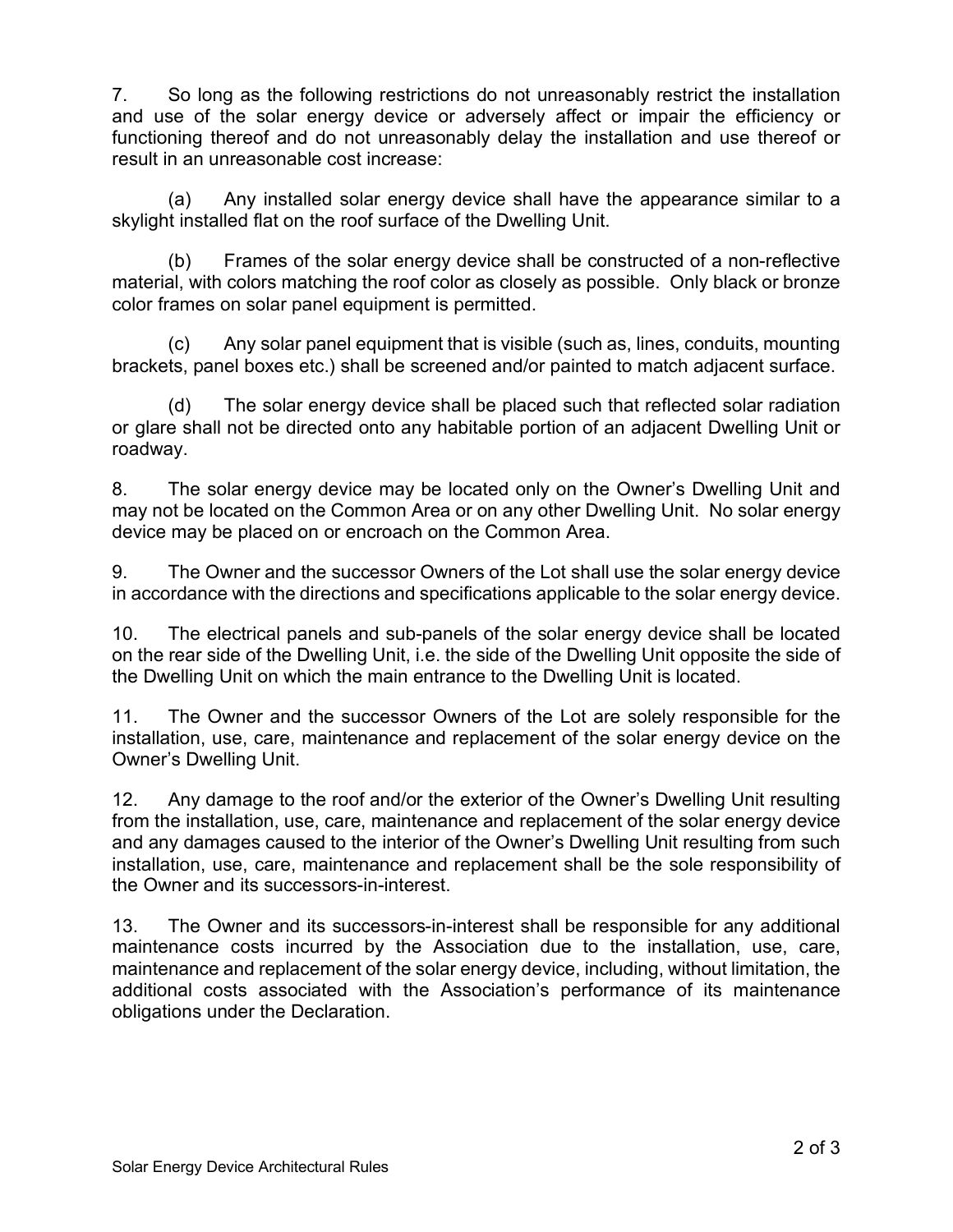7. So long as the following restrictions do not unreasonably restrict the installation and use of the solar energy device or adversely affect or impair the efficiency or functioning thereof and do not unreasonably delay the installation and use thereof or result in an unreasonable cost increase:

(a) Any installed solar energy device shall have the appearance similar to a skylight installed flat on the roof surface of the Dwelling Unit.

(b) Frames of the solar energy device shall be constructed of a non-reflective material, with colors matching the roof color as closely as possible. Only black or bronze color frames on solar panel equipment is permitted.

(c) Any solar panel equipment that is visible (such as, lines, conduits, mounting brackets, panel boxes etc.) shall be screened and/or painted to match adjacent surface.

(d) The solar energy device shall be placed such that reflected solar radiation or glare shall not be directed onto any habitable portion of an adjacent Dwelling Unit or roadway.

8. The solar energy device may be located only on the Owner's Dwelling Unit and may not be located on the Common Area or on any other Dwelling Unit. No solar energy device may be placed on or encroach on the Common Area.

9. The Owner and the successor Owners of the Lot shall use the solar energy device in accordance with the directions and specifications applicable to the solar energy device.

10. The electrical panels and sub-panels of the solar energy device shall be located on the rear side of the Dwelling Unit, i.e. the side of the Dwelling Unit opposite the side of the Dwelling Unit on which the main entrance to the Dwelling Unit is located.

11. The Owner and the successor Owners of the Lot are solely responsible for the installation, use, care, maintenance and replacement of the solar energy device on the Owner's Dwelling Unit.

12. Any damage to the roof and/or the exterior of the Owner's Dwelling Unit resulting from the installation, use, care, maintenance and replacement of the solar energy device and any damages caused to the interior of the Owner's Dwelling Unit resulting from such installation, use, care, maintenance and replacement shall be the sole responsibility of the Owner and its successors-in-interest.

13. The Owner and its successors-in-interest shall be responsible for any additional maintenance costs incurred by the Association due to the installation, use, care, maintenance and replacement of the solar energy device, including, without limitation, the additional costs associated with the Association's performance of its maintenance obligations under the Declaration.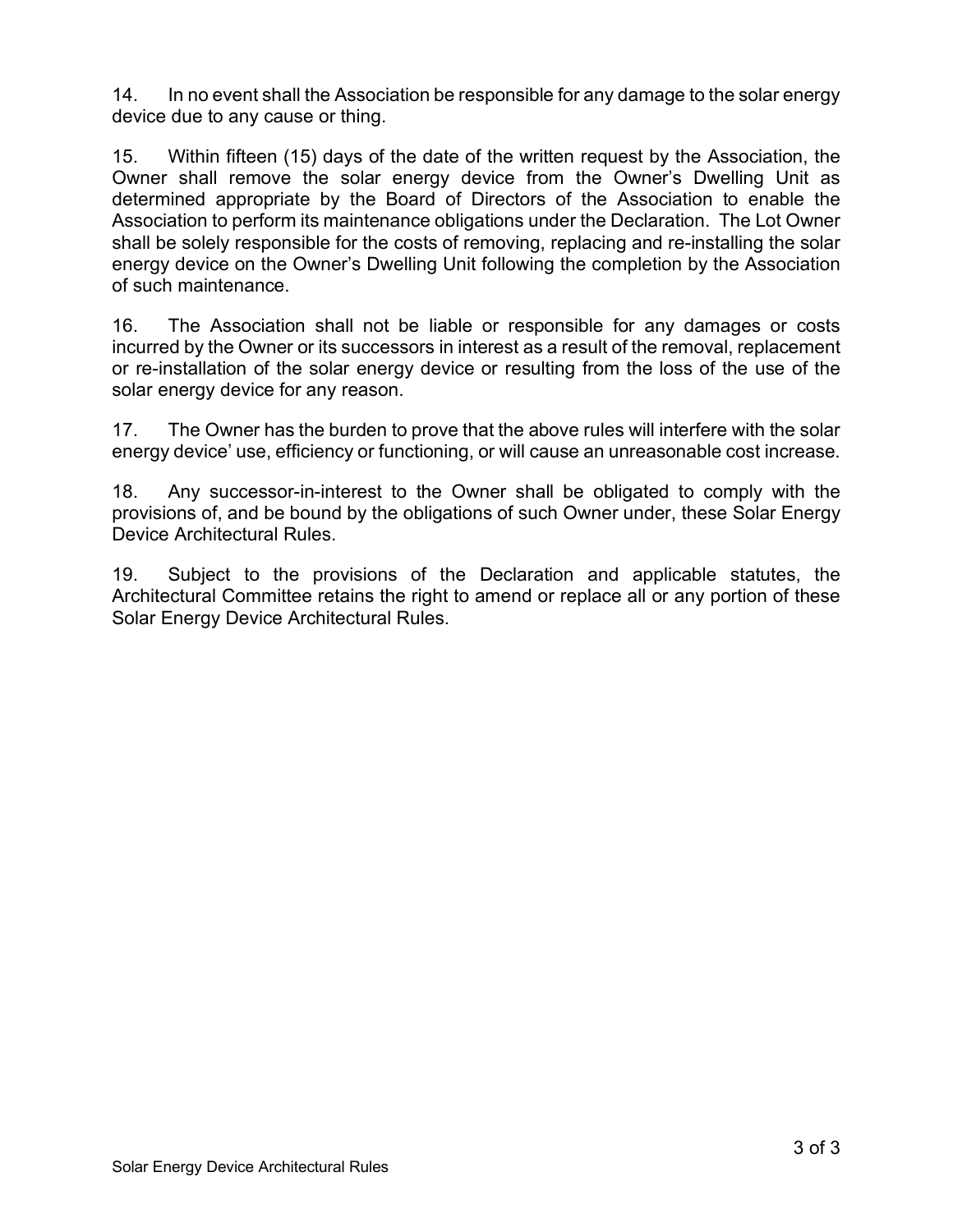14. In no event shall the Association be responsible for any damage to the solar energy device due to any cause or thing.

15. Within fifteen (15) days of the date of the written request by the Association, the Owner shall remove the solar energy device from the Owner's Dwelling Unit as determined appropriate by the Board of Directors of the Association to enable the Association to perform its maintenance obligations under the Declaration. The Lot Owner shall be solely responsible for the costs of removing, replacing and re-installing the solar energy device on the Owner's Dwelling Unit following the completion by the Association of such maintenance.

16. The Association shall not be liable or responsible for any damages or costs incurred by the Owner or its successors in interest as a result of the removal, replacement or re-installation of the solar energy device or resulting from the loss of the use of the solar energy device for any reason.

17. The Owner has the burden to prove that the above rules will interfere with the solar energy device' use, efficiency or functioning, or will cause an unreasonable cost increase.

18. Any successor-in-interest to the Owner shall be obligated to comply with the provisions of, and be bound by the obligations of such Owner under, these Solar Energy Device Architectural Rules.

19. Subject to the provisions of the Declaration and applicable statutes, the Architectural Committee retains the right to amend or replace all or any portion of these Solar Energy Device Architectural Rules.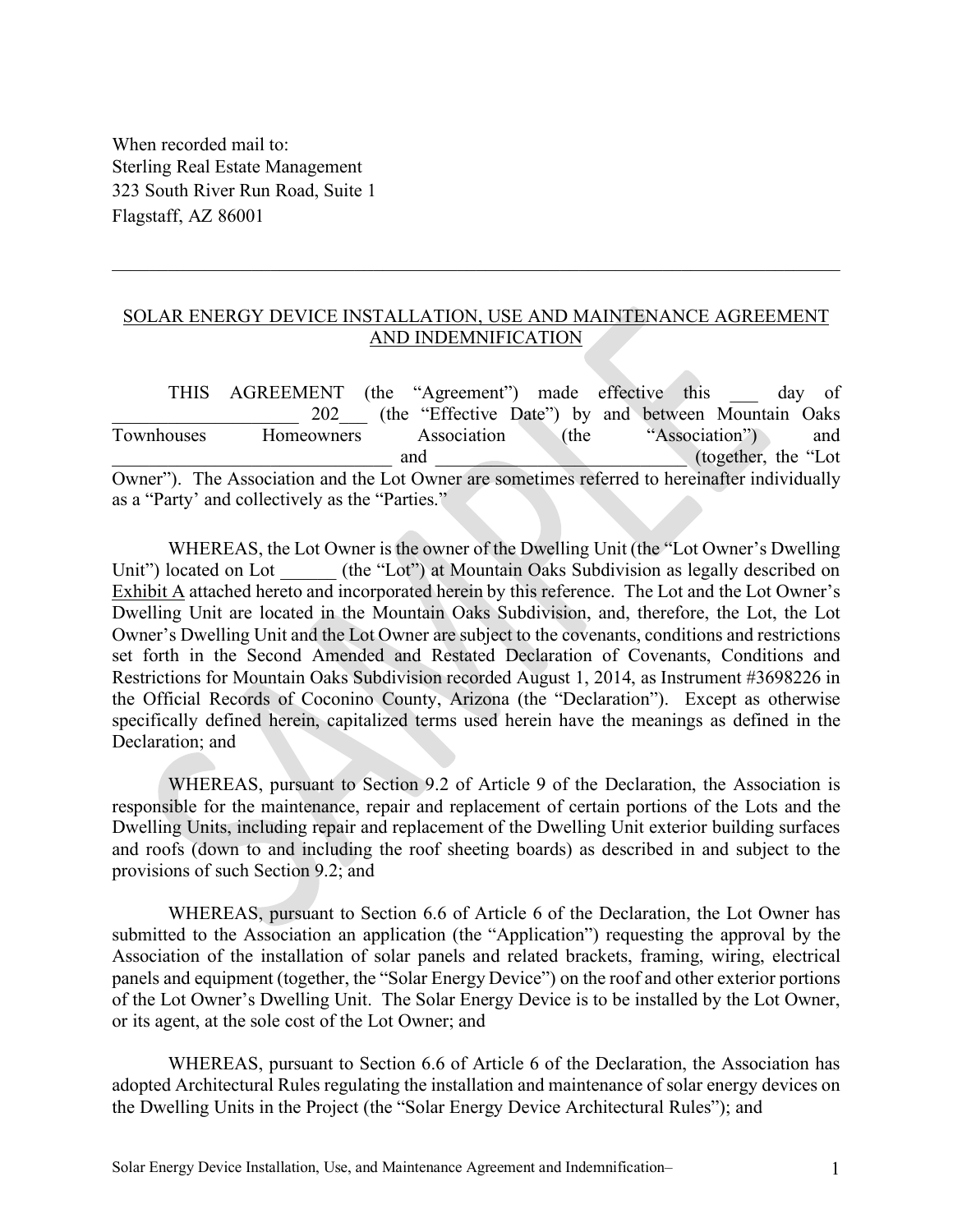#### SOLAR ENERGY DEVICE INSTALLATION, USE AND MAINTENANCE AGREEMENT AND INDEMNIFICATION

\_\_\_\_\_\_\_\_\_\_\_\_\_\_\_\_\_\_\_\_\_\_\_\_\_\_\_\_\_\_\_\_\_\_\_\_\_\_\_\_\_\_\_\_\_\_\_\_\_\_\_\_\_\_\_\_\_\_\_\_\_\_\_\_\_\_\_\_\_\_\_\_\_\_\_\_\_\_

THIS AGREEMENT (the "Agreement") made effective this \_\_\_ day of 202 (the "Effective Date") by and between Mountain Oaks Townhouses Homeowners Association (the "Association") and and  $(together, the "Lot")$ Owner"). The Association and the Lot Owner are sometimes referred to hereinafter individually as a "Party' and collectively as the "Parties."

WHEREAS, the Lot Owner is the owner of the Dwelling Unit (the "Lot Owner's Dwelling Unit") located on Lot (the "Lot") at Mountain Oaks Subdivision as legally described on Exhibit A attached hereto and incorporated herein by this reference. The Lot and the Lot Owner's Dwelling Unit are located in the Mountain Oaks Subdivision, and, therefore, the Lot, the Lot Owner's Dwelling Unit and the Lot Owner are subject to the covenants, conditions and restrictions set forth in the Second Amended and Restated Declaration of Covenants, Conditions and Restrictions for Mountain Oaks Subdivision recorded August 1, 2014, as Instrument #3698226 in the Official Records of Coconino County, Arizona (the "Declaration"). Except as otherwise specifically defined herein, capitalized terms used herein have the meanings as defined in the Declaration; and

WHEREAS, pursuant to Section 9.2 of Article 9 of the Declaration, the Association is responsible for the maintenance, repair and replacement of certain portions of the Lots and the Dwelling Units, including repair and replacement of the Dwelling Unit exterior building surfaces and roofs (down to and including the roof sheeting boards) as described in and subject to the provisions of such Section 9.2; and

WHEREAS, pursuant to Section 6.6 of Article 6 of the Declaration, the Lot Owner has submitted to the Association an application (the "Application") requesting the approval by the Association of the installation of solar panels and related brackets, framing, wiring, electrical panels and equipment (together, the "Solar Energy Device") on the roof and other exterior portions of the Lot Owner's Dwelling Unit. The Solar Energy Device is to be installed by the Lot Owner, or its agent, at the sole cost of the Lot Owner; and

WHEREAS, pursuant to Section 6.6 of Article 6 of the Declaration, the Association has adopted Architectural Rules regulating the installation and maintenance of solar energy devices on the Dwelling Units in the Project (the "Solar Energy Device Architectural Rules"); and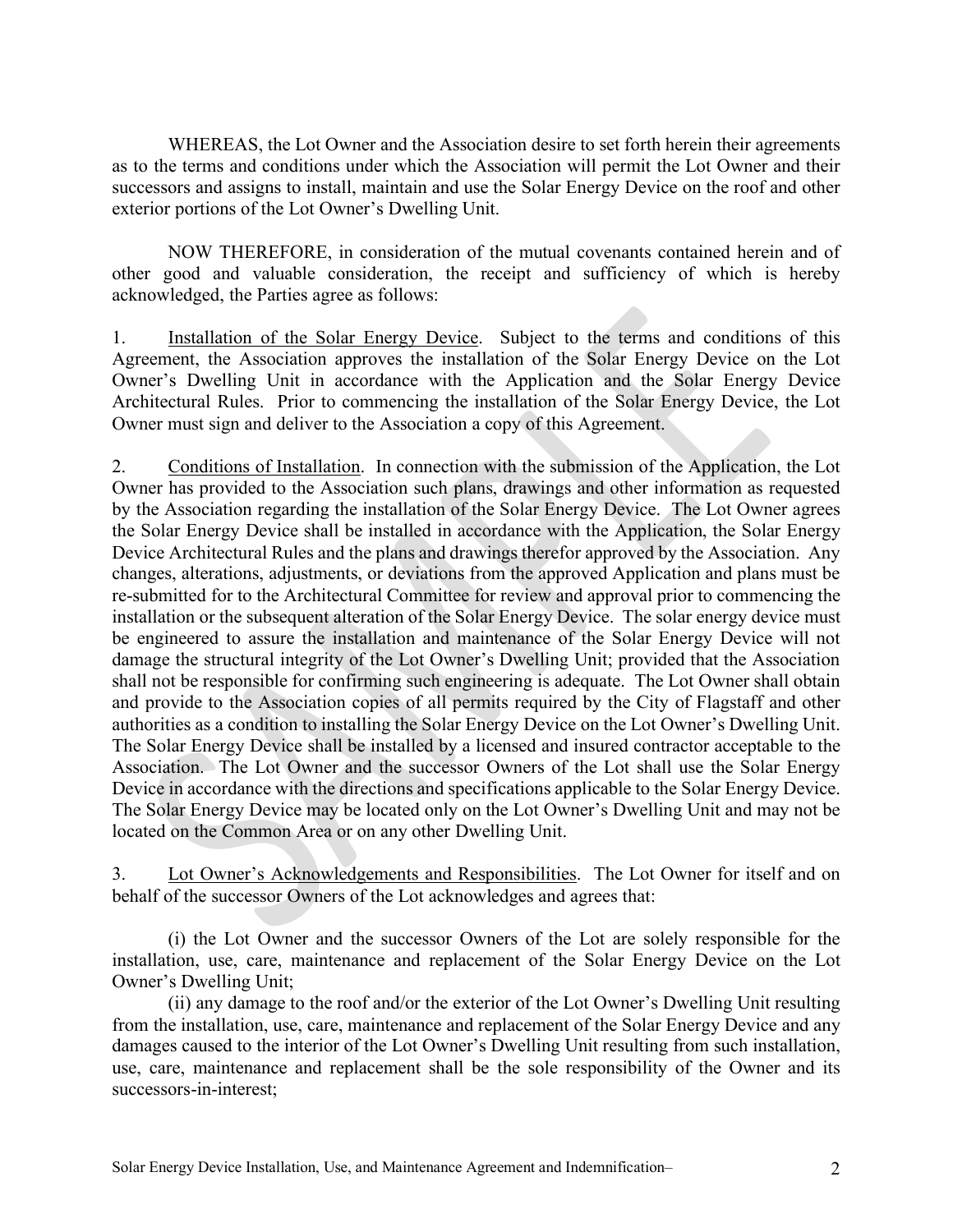WHEREAS, the Lot Owner and the Association desire to set forth herein their agreements as to the terms and conditions under which the Association will permit the Lot Owner and their successors and assigns to install, maintain and use the Solar Energy Device on the roof and other exterior portions of the Lot Owner's Dwelling Unit.

NOW THEREFORE, in consideration of the mutual covenants contained herein and of other good and valuable consideration, the receipt and sufficiency of which is hereby acknowledged, the Parties agree as follows:

1. Installation of the Solar Energy Device. Subject to the terms and conditions of this Agreement, the Association approves the installation of the Solar Energy Device on the Lot Owner's Dwelling Unit in accordance with the Application and the Solar Energy Device Architectural Rules. Prior to commencing the installation of the Solar Energy Device, the Lot Owner must sign and deliver to the Association a copy of this Agreement.

2. Conditions of Installation. In connection with the submission of the Application, the Lot Owner has provided to the Association such plans, drawings and other information as requested by the Association regarding the installation of the Solar Energy Device. The Lot Owner agrees the Solar Energy Device shall be installed in accordance with the Application, the Solar Energy Device Architectural Rules and the plans and drawings therefor approved by the Association. Any changes, alterations, adjustments, or deviations from the approved Application and plans must be re-submitted for to the Architectural Committee for review and approval prior to commencing the installation or the subsequent alteration of the Solar Energy Device. The solar energy device must be engineered to assure the installation and maintenance of the Solar Energy Device will not damage the structural integrity of the Lot Owner's Dwelling Unit; provided that the Association shall not be responsible for confirming such engineering is adequate. The Lot Owner shall obtain and provide to the Association copies of all permits required by the City of Flagstaff and other authorities as a condition to installing the Solar Energy Device on the Lot Owner's Dwelling Unit. The Solar Energy Device shall be installed by a licensed and insured contractor acceptable to the Association. The Lot Owner and the successor Owners of the Lot shall use the Solar Energy Device in accordance with the directions and specifications applicable to the Solar Energy Device. The Solar Energy Device may be located only on the Lot Owner's Dwelling Unit and may not be located on the Common Area or on any other Dwelling Unit.

3. Lot Owner's Acknowledgements and Responsibilities. The Lot Owner for itself and on behalf of the successor Owners of the Lot acknowledges and agrees that:

(i) the Lot Owner and the successor Owners of the Lot are solely responsible for the installation, use, care, maintenance and replacement of the Solar Energy Device on the Lot Owner's Dwelling Unit;

(ii) any damage to the roof and/or the exterior of the Lot Owner's Dwelling Unit resulting from the installation, use, care, maintenance and replacement of the Solar Energy Device and any damages caused to the interior of the Lot Owner's Dwelling Unit resulting from such installation, use, care, maintenance and replacement shall be the sole responsibility of the Owner and its successors-in-interest;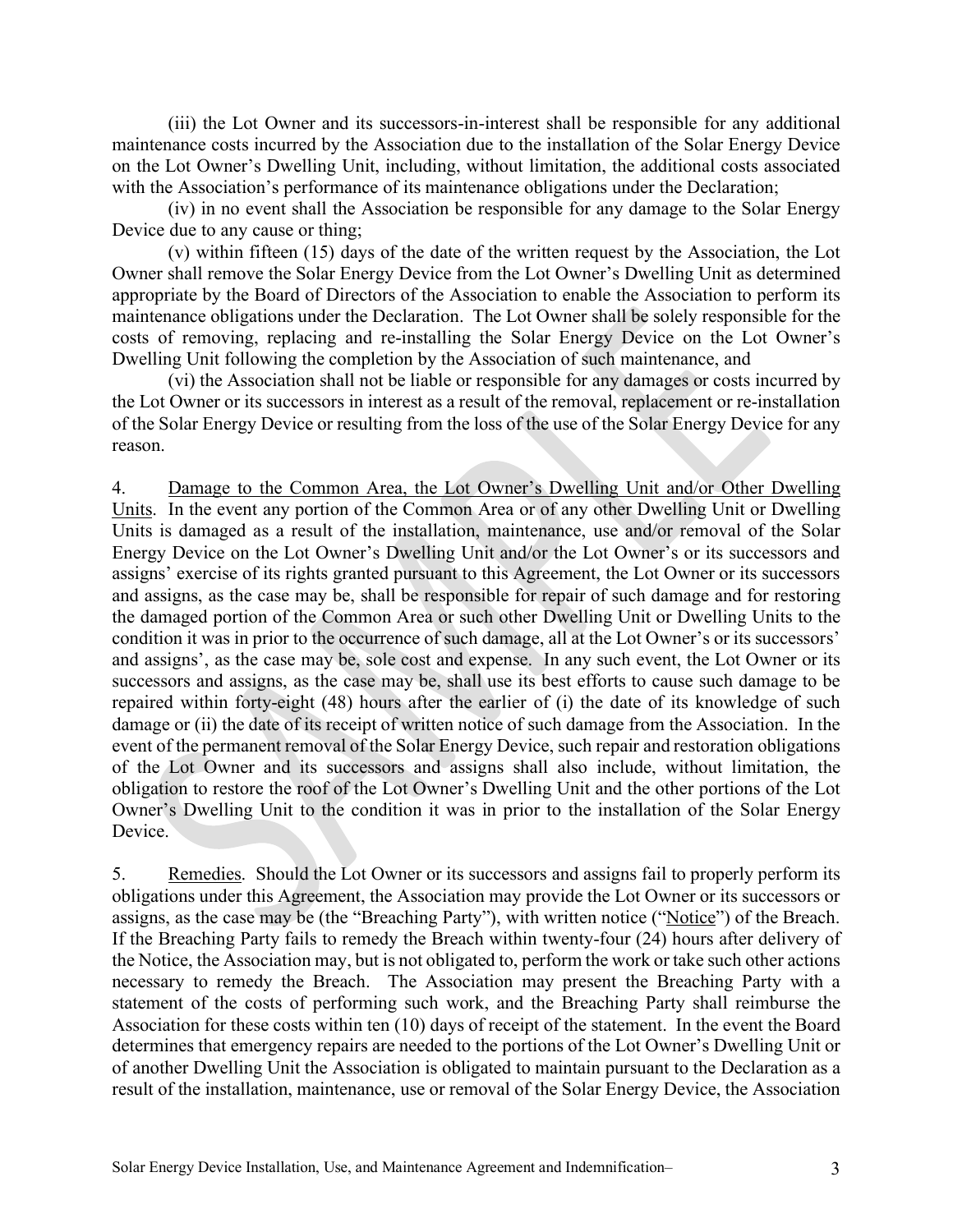(iii) the Lot Owner and its successors-in-interest shall be responsible for any additional maintenance costs incurred by the Association due to the installation of the Solar Energy Device on the Lot Owner's Dwelling Unit, including, without limitation, the additional costs associated with the Association's performance of its maintenance obligations under the Declaration;

(iv) in no event shall the Association be responsible for any damage to the Solar Energy Device due to any cause or thing;

(v) within fifteen (15) days of the date of the written request by the Association, the Lot Owner shall remove the Solar Energy Device from the Lot Owner's Dwelling Unit as determined appropriate by the Board of Directors of the Association to enable the Association to perform its maintenance obligations under the Declaration. The Lot Owner shall be solely responsible for the costs of removing, replacing and re-installing the Solar Energy Device on the Lot Owner's Dwelling Unit following the completion by the Association of such maintenance, and

(vi) the Association shall not be liable or responsible for any damages or costs incurred by the Lot Owner or its successors in interest as a result of the removal, replacement or re-installation of the Solar Energy Device or resulting from the loss of the use of the Solar Energy Device for any reason.

4. Damage to the Common Area, the Lot Owner's Dwelling Unit and/or Other Dwelling Units. In the event any portion of the Common Area or of any other Dwelling Unit or Dwelling Units is damaged as a result of the installation, maintenance, use and/or removal of the Solar Energy Device on the Lot Owner's Dwelling Unit and/or the Lot Owner's or its successors and assigns' exercise of its rights granted pursuant to this Agreement, the Lot Owner or its successors and assigns, as the case may be, shall be responsible for repair of such damage and for restoring the damaged portion of the Common Area or such other Dwelling Unit or Dwelling Units to the condition it was in prior to the occurrence of such damage, all at the Lot Owner's or its successors' and assigns', as the case may be, sole cost and expense. In any such event, the Lot Owner or its successors and assigns, as the case may be, shall use its best efforts to cause such damage to be repaired within forty-eight (48) hours after the earlier of (i) the date of its knowledge of such damage or (ii) the date of its receipt of written notice of such damage from the Association. In the event of the permanent removal of the Solar Energy Device, such repair and restoration obligations of the Lot Owner and its successors and assigns shall also include, without limitation, the obligation to restore the roof of the Lot Owner's Dwelling Unit and the other portions of the Lot Owner's Dwelling Unit to the condition it was in prior to the installation of the Solar Energy Device.

5. Remedies. Should the Lot Owner or its successors and assigns fail to properly perform its obligations under this Agreement, the Association may provide the Lot Owner or its successors or assigns, as the case may be (the "Breaching Party"), with written notice ("Notice") of the Breach. If the Breaching Party fails to remedy the Breach within twenty-four (24) hours after delivery of the Notice, the Association may, but is not obligated to, perform the work or take such other actions necessary to remedy the Breach. The Association may present the Breaching Party with a statement of the costs of performing such work, and the Breaching Party shall reimburse the Association for these costs within ten (10) days of receipt of the statement. In the event the Board determines that emergency repairs are needed to the portions of the Lot Owner's Dwelling Unit or of another Dwelling Unit the Association is obligated to maintain pursuant to the Declaration as a result of the installation, maintenance, use or removal of the Solar Energy Device, the Association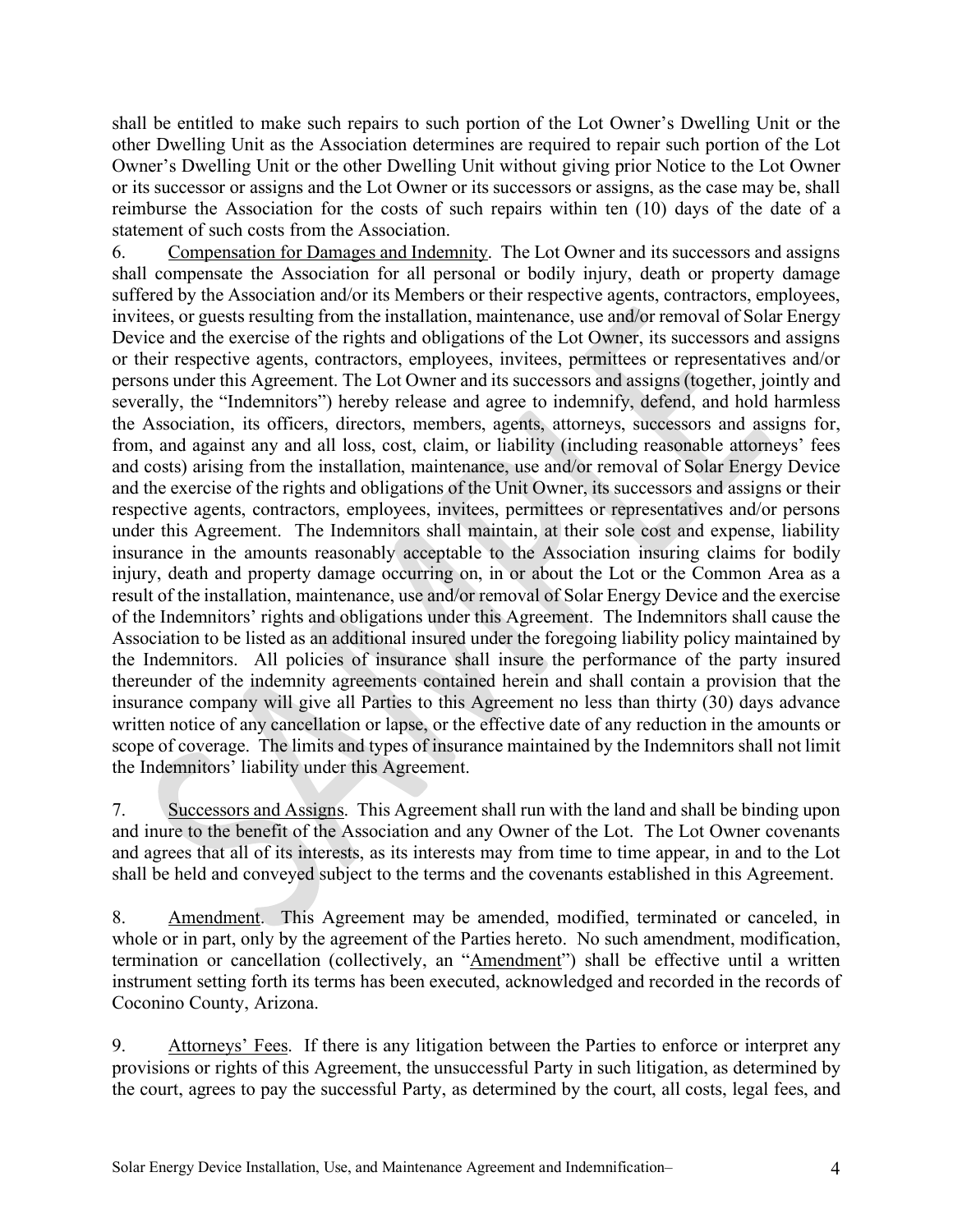shall be entitled to make such repairs to such portion of the Lot Owner's Dwelling Unit or the other Dwelling Unit as the Association determines are required to repair such portion of the Lot Owner's Dwelling Unit or the other Dwelling Unit without giving prior Notice to the Lot Owner or its successor or assigns and the Lot Owner or its successors or assigns, as the case may be, shall reimburse the Association for the costs of such repairs within ten (10) days of the date of a statement of such costs from the Association.

6. Compensation for Damages and Indemnity. The Lot Owner and its successors and assigns shall compensate the Association for all personal or bodily injury, death or property damage suffered by the Association and/or its Members or their respective agents, contractors, employees, invitees, or guests resulting from the installation, maintenance, use and/or removal of Solar Energy Device and the exercise of the rights and obligations of the Lot Owner, its successors and assigns or their respective agents, contractors, employees, invitees, permittees or representatives and/or persons under this Agreement. The Lot Owner and its successors and assigns (together, jointly and severally, the "Indemnitors") hereby release and agree to indemnify, defend, and hold harmless the Association, its officers, directors, members, agents, attorneys, successors and assigns for, from, and against any and all loss, cost, claim, or liability (including reasonable attorneys' fees and costs) arising from the installation, maintenance, use and/or removal of Solar Energy Device and the exercise of the rights and obligations of the Unit Owner, its successors and assigns or their respective agents, contractors, employees, invitees, permittees or representatives and/or persons under this Agreement. The Indemnitors shall maintain, at their sole cost and expense, liability insurance in the amounts reasonably acceptable to the Association insuring claims for bodily injury, death and property damage occurring on, in or about the Lot or the Common Area as a result of the installation, maintenance, use and/or removal of Solar Energy Device and the exercise of the Indemnitors' rights and obligations under this Agreement. The Indemnitors shall cause the Association to be listed as an additional insured under the foregoing liability policy maintained by the Indemnitors. All policies of insurance shall insure the performance of the party insured thereunder of the indemnity agreements contained herein and shall contain a provision that the insurance company will give all Parties to this Agreement no less than thirty (30) days advance written notice of any cancellation or lapse, or the effective date of any reduction in the amounts or scope of coverage. The limits and types of insurance maintained by the Indemnitors shall not limit the Indemnitors' liability under this Agreement.

7. Successors and Assigns. This Agreement shall run with the land and shall be binding upon and inure to the benefit of the Association and any Owner of the Lot. The Lot Owner covenants and agrees that all of its interests, as its interests may from time to time appear, in and to the Lot shall be held and conveyed subject to the terms and the covenants established in this Agreement.

8. Amendment. This Agreement may be amended, modified, terminated or canceled, in whole or in part, only by the agreement of the Parties hereto. No such amendment, modification, termination or cancellation (collectively, an "Amendment") shall be effective until a written instrument setting forth its terms has been executed, acknowledged and recorded in the records of Coconino County, Arizona.

9. Attorneys' Fees. If there is any litigation between the Parties to enforce or interpret any provisions or rights of this Agreement, the unsuccessful Party in such litigation, as determined by the court, agrees to pay the successful Party, as determined by the court, all costs, legal fees, and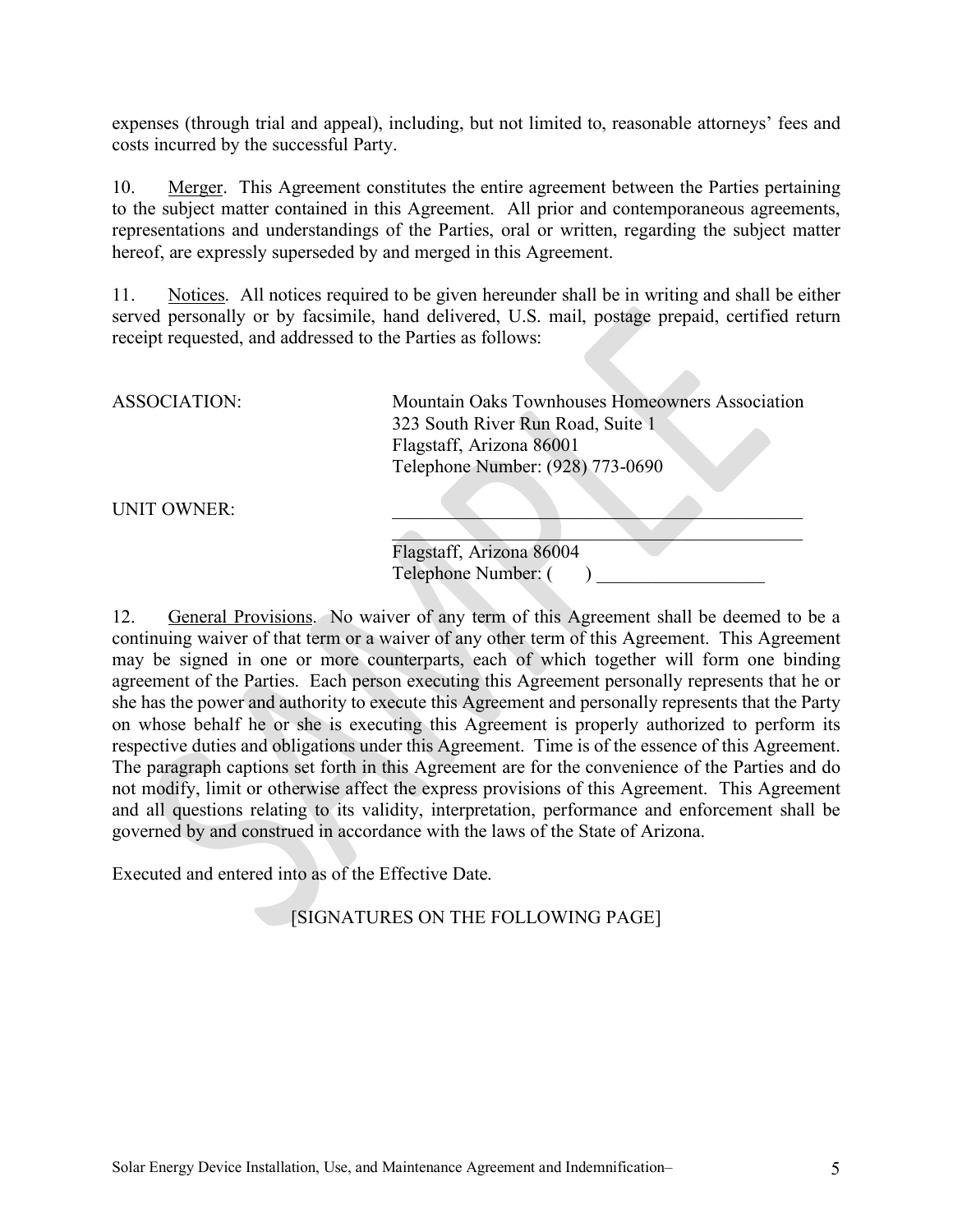expenses (through trial and appeal), including, but not limited to, reasonable attorneys' fees and costs incurred by the successful Party.

10. Merger. This Agreement constitutes the entire agreement between the Parties pertaining to the subject matter contained in this Agreement. All prior and contemporaneous agreements, representations and understandings of the Parties, oral or written, regarding the subject matter hereof, are expressly superseded by and merged in this Agreement.

11. Notices. All notices required to be given hereunder shall be in writing and shall be either served personally or by facsimile, hand delivered, U.S. mail, postage prepaid, certified return receipt requested, and addressed to the Parties as follows:

| ASSOCIATION: | Mountain Oaks Townhouses Homeowners Association |
|--------------|-------------------------------------------------|
|              | 323 South River Run Road, Suite 1               |
|              | Flagstaff, Arizona 86001                        |
|              | Telephone Number: (928) 773-0690                |
|              |                                                 |

UNIT OWNER:

| Flagstaff, Arizona 86004 |  |
|--------------------------|--|
| Telephone Number: (      |  |

12. General Provisions. No waiver of any term of this Agreement shall be deemed to be a continuing waiver of that term or a waiver of any other term of this Agreement. This Agreement may be signed in one or more counterparts, each of which together will form one binding agreement of the Parties. Each person executing this Agreement personally represents that he or she has the power and authority to execute this Agreement and personally represents that the Party on whose behalf he or she is executing this Agreement is properly authorized to perform its respective duties and obligations under this Agreement. Time is of the essence of this Agreement. The paragraph captions set forth in this Agreement are for the convenience of the Parties and do not modify, limit or otherwise affect the express provisions of this Agreement. This Agreement and all questions relating to its validity, interpretation, performance and enforcement shall be governed by and construed in accordance with the laws of the State of Arizona.

Executed and entered into as of the Effective Date.

[SIGNATURES ON THE FOLLOWING PAGE]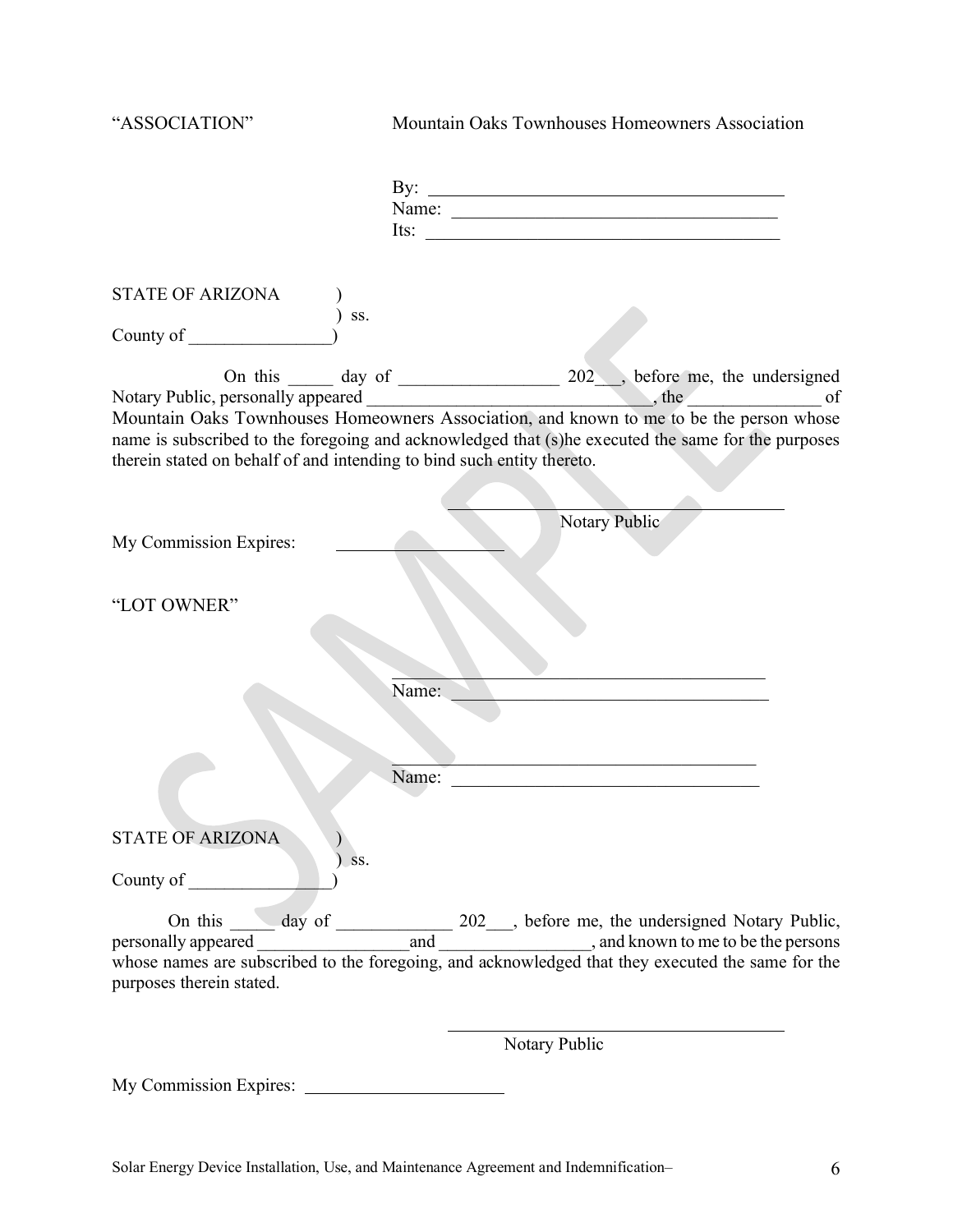| "ASSOCIATION"                                                          | Mountain Oaks Townhouses Homeowners Association                                                                                                                                                                                                                                    |
|------------------------------------------------------------------------|------------------------------------------------------------------------------------------------------------------------------------------------------------------------------------------------------------------------------------------------------------------------------------|
|                                                                        | Name:<br>Its: $\qquad \qquad$                                                                                                                                                                                                                                                      |
| <b>STATE OF ARIZONA</b>                                                | SS.                                                                                                                                                                                                                                                                                |
| County of                                                              |                                                                                                                                                                                                                                                                                    |
| therein stated on behalf of and intending to bind such entity thereto. | On this _______ day of _______________________ 202___, before me, the undersigned<br>Mountain Oaks Townhouses Homeowners Association, and known to me to be the person whose<br>name is subscribed to the foregoing and acknowledged that (s)he executed the same for the purposes |
|                                                                        |                                                                                                                                                                                                                                                                                    |
| My Commission Expires:                                                 | Notary Public                                                                                                                                                                                                                                                                      |
| "LOT OWNER"                                                            |                                                                                                                                                                                                                                                                                    |
|                                                                        | Name:                                                                                                                                                                                                                                                                              |
|                                                                        |                                                                                                                                                                                                                                                                                    |
|                                                                        | Name:                                                                                                                                                                                                                                                                              |
| <b>STATE OF ARIZONA</b>                                                | SS.                                                                                                                                                                                                                                                                                |
| County of                                                              |                                                                                                                                                                                                                                                                                    |
| purposes therein stated.                                               | On this day of 202, before me, the undersigned Notary Public,<br>and hown to me to be the persons<br>whose names are subscribed to the foregoing, and acknowledged that they executed the same for the                                                                             |
|                                                                        |                                                                                                                                                                                                                                                                                    |

Notary Public

My Commission Expires: